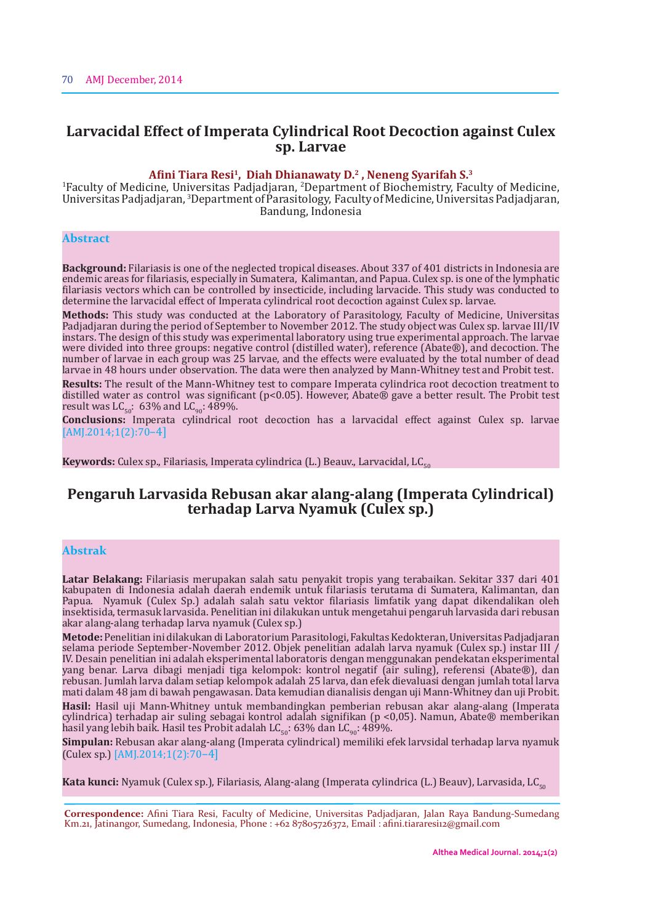# **Larvacidal Effect of Imperata Cylindrical Root Decoction against Culex sp. Larvae**

#### **Afini Tiara Resi1, Diah Dhianawaty D.2 , Neneng Syarifah S.3**

1 Faculty of Medicine, Universitas Padjadjaran, <sup>2</sup> Department of Biochemistry, Faculty of Medicine, Universitas Padjadjaran, <sup>3</sup>Department of Parasitology, Faculty of Medicine, Universitas Padjadjaran, Bandung, Indonesia

# **Abstract**

**Background:** Filariasis is one of the neglected tropical diseases. About 337 of 401 districts in Indonesia are endemic areas for filariasis, especially in Sumatera, Kalimantan, and Papua. Culex sp. is one of the lymphatic filariasis vectors which can be controlled by insecticide, including larvacide. This study was conducted to determine the larvacidal effect of Imperata cylindrical root decoction against Culex sp. larvae.

**Methods:** This study was conducted at the Laboratory of Parasitology, Faculty of Medicine, Universitas Padjadjaran during the period of September to November 2012. The study object was Culex sp. larvae III/IV instars. The design of this study was experimental laboratory using true experimental approach. The larvae were divided into three groups: negative control (distilled water), reference (Abate®), and decoction. The number of larvae in each group was 25 larvae, and the effects were evaluated by the total number of dead larvae in 48 hours under observation. The data were then analyzed by Mann-Whitney test and Probit test.

**Results:** The result of the Mann-Whitney test to compare Imperata cylindrica root decoction treatment to distilled water as control was significant (p<0.05). However, Abate® gave a better result. The Probit test result was LC<sub>50</sub>: 63% and LC<sub>90</sub>: 489%.

**Conclusions:** Imperata cylindrical root decoction has a larvacidal effect against Culex sp. larvae [AMJ.2014;1(2):70-4]

**Keywords:** Culex sp., Filariasis, Imperata cylindrica (L.) Beauv., Larvacidal, LC<sub>50</sub>

# **Pengaruh Larvasida Rebusan akar alang-alang (Imperata Cylindrical) terhadap Larva Nyamuk (Culex sp.)**

# **Abstrak**

**Latar Belakang:** Filariasis merupakan salah satu penyakit tropis yang terabaikan. Sekitar 337 dari 401 kabupaten di Indonesia adalah daerah endemik untuk filariasis terutama di Sumatera, Kalimantan, dan Papua. Nyamuk (Culex Sp.) adalah salah satu vektor filariasis limfatik yang dapat dikendalikan oleh insektisida, termasuk larvasida. Penelitian ini dilakukan untuk mengetahui pengaruh larvasida dari rebusan akar alang-alang terhadap larva nyamuk (Culex sp.)

**Metode:** Penelitian ini dilakukan di Laboratorium Parasitologi, Fakultas Kedokteran, Universitas Padjadjaran selama periode September-November 2012. Objek penelitian adalah larva nyamuk (Culex sp.) instar III / IV. Desain penelitian ini adalah eksperimental laboratoris dengan menggunakan pendekatan eksperimental yang benar. Larva dibagi menjadi tiga kelompok: kontrol negatif (air suling), referensi (Abate®), dan rebusan. Jumlah larva dalam setiap kelompok adalah 25 larva, dan efek dievaluasi dengan jumlah total larva mati dalam 48 jam di bawah pengawasan. Data kemudian dianalisis dengan uji Mann-Whitney dan uji Probit.

**Hasil:** Hasil uji Mann-Whitney untuk membandingkan pemberian rebusan akar alang-alang (Imperata cylindrica) terhadap air suling sebagai kontrol adalah signifikan (p <0,05). Namun, Abate® memberikan hasil yang lebih baik. Hasil tes Probit adalah LC $_{50}$ : 63% dan LC $_{90}$ : 489%.

**Simpulan:** Rebusan akar alang-alang (Imperata cylindrical) memiliki efek larvsidal terhadap larva nyamuk (Culex sp.) [AMJ.2014;1(2):70–4]

Kata kunci: Nyamuk (Culex sp.), Filariasis, Alang-alang (Imperata cylindrica (L.) Beauv), Larvasida, LC<sub>50</sub>

**Correspondence:** Afini Tiara Resi, Faculty of Medicine, Universitas Padjadjaran, Jalan Raya Bandung-Sumedang Km.21, Jatinangor, Sumedang, Indonesia, Phone : +62 87805726372, Email : afini.tiararesi12@gmail.com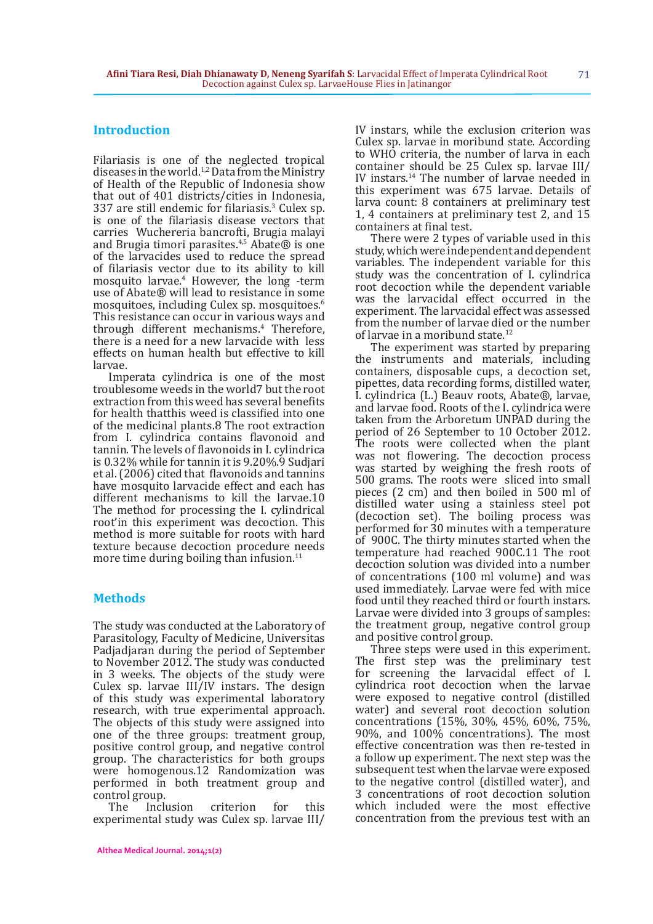### **Introduction**

Filariasis is one of the neglected tropical diseases in the world.<sup>1,2</sup> Data from the Ministry of Health of the Republic of Indonesia show that out of 401 districts/cities in Indonesia, 337 are still endemic for filariasis.<sup>3</sup> Culex sp. is one of the filariasis disease vectors that carries Wuchereria bancrofti, Brugia malayi and Brugia timori parasites.<sup>4,5</sup> Abate® is one of the larvacides used to reduce the spread of filariasis vector due to its ability to kill mosquito larvae.<sup>4</sup> However, the long -term use of Abate® will lead to resistance in some mosquitoes, including Culex sp. mosquitoes.6 This resistance can occur in various ways and through different mechanisms.4 Therefore, there is a need for a new larvacide with less effects on human health but effective to kill larvae.

Imperata cylindrica is one of the most troublesome weeds in the world7 but the root extraction from this weed has several benefits for health thatthis weed is classified into one of the medicinal plants.8 The root extraction from I. cylindrica contains flavonoid and tannin. The levels of flavonoids in I. cylindrica is 0.32% while for tannin it is 9.20%.9 Sudjari et al. (2006) cited that flavonoids and tannins have mosquito larvacide effect and each has different mechanisms to kill the larvae.10 The method for processing the I. cylindrical root'in this experiment was decoction. This method is more suitable for roots with hard texture because decoction procedure needs more time during boiling than infusion. $11$ 

### **Methods**

The study was conducted at the Laboratory of Parasitology, Faculty of Medicine, Universitas Padjadjaran during the period of September to November 2012. The study was conducted in 3 weeks. The objects of the study were Culex sp. larvae III/IV instars. The design of this study was experimental laboratory research, with true experimental approach. The objects of this study were assigned into one of the three groups: treatment group, positive control group, and negative control group. The characteristics for both groups were homogenous.12 Randomization was performed in both treatment group and control group.<br>The Inclu

Inclusion criterion for this experimental study was Culex sp. larvae III/ IV instars, while the exclusion criterion was Culex sp. larvae in moribund state. According to WHO criteria, the number of larva in each container should be 25 Culex sp. larvae III/ IV instars.<sup>14</sup> The number of larvae needed in this experiment was 675 larvae. Details of larva count: 8 containers at preliminary test 1, 4 containers at preliminary test 2, and 15 containers at final test.

There were 2 types of variable used in this study, which were independent and dependent variables. The independent variable for this study was the concentration of I. cylindrica root decoction while the dependent variable was the larvacidal effect occurred in the experiment. The larvacidal effect was assessed from the number of larvae died or the number of larvae in a moribund state.<sup>12</sup>

The experiment was started by preparing the instruments and materials, including containers, disposable cups, a decoction set, pipettes, data recording forms, distilled water, I. cylindrica (L.) Beauv roots, Abate®, larvae, and larvae food. Roots of the I. cylindrica were taken from the Arboretum UNPAD during the period of 26 September to 10 October 2012. The roots were collected when the plant was not flowering. The decoction process was started by weighing the fresh roots of 500 grams. The roots were sliced into small pieces (2 cm) and then boiled in 500 ml of distilled water using a stainless steel pot (decoction set). The boiling process was performed for 30 minutes with a temperature of 900C. The thirty minutes started when the temperature had reached 900C.11 The root decoction solution was divided into a number of concentrations (100 ml volume) and was used immediately. Larvae were fed with mice food until they reached third or fourth instars. Larvae were divided into 3 groups of samples: the treatment group, negative control group and positive control group.

Three steps were used in this experiment. The first step was the preliminary test for screening the larvacidal effect of I. cylindrica root decoction when the larvae were exposed to negative control (distilled water) and several root decoction solution concentrations (15%, 30%, 45%, 60%, 75%, 90%, and 100% concentrations). The most effective concentration was then re-tested in a follow up experiment. The next step was the subsequent test when the larvae were exposed to the negative control (distilled water), and 3 concentrations of root decoction solution which included were the most effective concentration from the previous test with an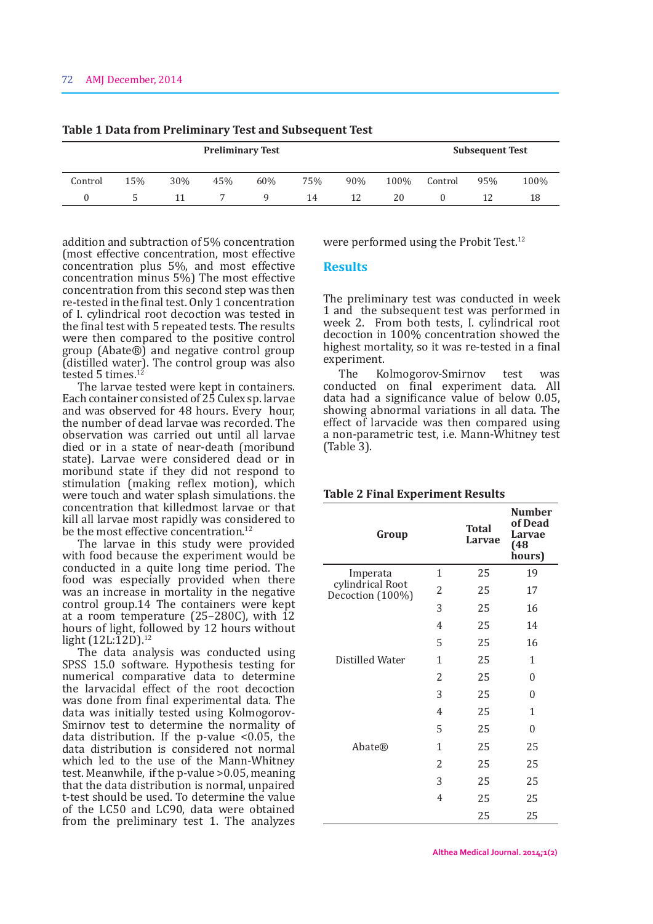| <b>Preliminary Test</b> |     |     |     |     |     |     | <b>Subsequent Test</b> |         |     |      |
|-------------------------|-----|-----|-----|-----|-----|-----|------------------------|---------|-----|------|
| Control                 | 15% | 30% | 45% | 60% | 75% | 90% | 100%                   | Control | 95% | 100% |
|                         |     |     |     |     | 14  | 12  | 20                     |         |     | 18   |

**Table 1 Data from Preliminary Test and Subsequent Test**

addition and subtraction of 5% concentration (most effective concentration, most effective concentration plus 5%, and most effective concentration minus 5%) The most effective concentration from this second step was then re-tested in the final test. Only 1 concentration of I. cylindrical root decoction was tested in the final test with 5 repeated tests. The results were then compared to the positive control group (Abate®) and negative control group (distilled water). The control group was also tested 5 times.<sup>12</sup>

The larvae tested were kept in containers. Each container consisted of 25 Culex sp. larvae and was observed for 48 hours. Every hour, the number of dead larvae was recorded. The observation was carried out until all larvae died or in a state of near-death (moribund state). Larvae were considered dead or in moribund state if they did not respond to stimulation (making reflex motion), which were touch and water splash simulations. the concentration that killedmost larvae or that kill all larvae most rapidly was considered to be the most effective concentration.<sup>12</sup>

The larvae in this study were provided with food because the experiment would be conducted in a quite long time period. The food was especially provided when there was an increase in mortality in the negative control group.14 The containers were kept at a room temperature (25–280C), with 12 hours of light, followed by 12 hours without light  $(12L:\bar{1}2D)^{12}$ 

The data analysis was conducted using SPSS 15.0 software. Hypothesis testing for numerical comparative data to determine the larvacidal effect of the root decoction was done from final experimental data. The data was initially tested using Kolmogorov-Smirnov test to determine the normality of data distribution. If the p-value <0.05, the data distribution is considered not normal which led to the use of the Mann-Whitney test. Meanwhile, if the p-value >0.05, meaning that the data distribution is normal, unpaired t-test should be used. To determine the value of the LC50 and LC90, data were obtained from the preliminary test 1. The analyzes

were performed using the Probit Test.<sup>12</sup>

#### **Results**

The preliminary test was conducted in week 1 and the subsequent test was performed in week 2. From both tests, I. cylindrical root decoction in 100% concentration showed the highest mortality, so it was re-tested in a final experiment.

The Kolmogorov-Smirnov test was conducted on final experiment data. All data had a significance value of below 0.05, showing abnormal variations in all data. The effect of larvacide was then compared using a non-parametric test, i.e. Mann-Whitney test (Table 3).

|  | <b>Table 2 Final Experiment Results</b> |  |
|--|-----------------------------------------|--|
|  |                                         |  |

| Group                                |                | <b>Total</b><br>Larvae                                                     | <b>Number</b><br>of Dead<br>Larvae<br>(48)<br>hours) |
|--------------------------------------|----------------|----------------------------------------------------------------------------|------------------------------------------------------|
| Imperata                             | 1              | 25                                                                         | 19                                                   |
| cylindrical Root<br>Decoction (100%) | 2              | 25                                                                         | 17                                                   |
|                                      | 3              | 25<br>25<br>25<br>25<br>25<br>25<br>25<br>25<br>25<br>25<br>25<br>25<br>25 | 16                                                   |
|                                      | 4              |                                                                            | 14                                                   |
|                                      | 5              |                                                                            | 16                                                   |
| Distilled Water                      | 1              |                                                                            | $\mathbf{1}$                                         |
|                                      | $\overline{2}$ |                                                                            | 0                                                    |
|                                      | 3              |                                                                            | 0                                                    |
|                                      | 4              |                                                                            | $\mathbf{1}$                                         |
|                                      | 5              |                                                                            | 0                                                    |
| <b>Abate®</b>                        | $\mathbf{1}$   |                                                                            | 25                                                   |
|                                      | 2              |                                                                            | 25                                                   |
|                                      | 3              |                                                                            | 25                                                   |
|                                      | 4              |                                                                            | 25                                                   |
|                                      |                |                                                                            | 25                                                   |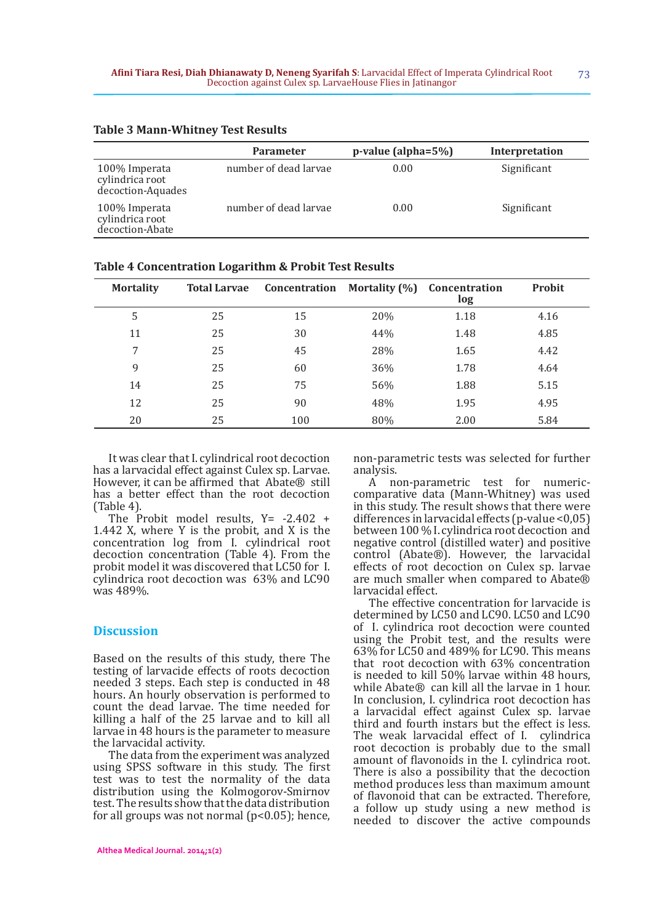|                                                       | <b>Parameter</b>      | p-value (alpha=5%) | Interpretation |
|-------------------------------------------------------|-----------------------|--------------------|----------------|
| 100% Imperata<br>cylindrica root<br>decoction-Aquades | number of dead larvae | 0.00               | Significant    |
| 100% Imperata<br>cylindrica root<br>decoction-Abate   | number of dead larvae | 0.00               | Significant    |

| <b>Table 3 Mann-Whitney Test Results</b> |  |
|------------------------------------------|--|
|------------------------------------------|--|

| -----            |                     |               |                      |                      |        |  |
|------------------|---------------------|---------------|----------------------|----------------------|--------|--|
| <b>Mortality</b> | <b>Total Larvae</b> | Concentration | <b>Mortality (%)</b> | Concentration<br>log | Probit |  |
| 5                | 25                  | 15            | 20%                  | 1.18                 | 4.16   |  |
| 11               | 25                  | 30            | 44%                  | 1.48                 | 4.85   |  |
| 7                | 25                  | 45            | 28%                  | 1.65                 | 4.42   |  |
| 9                | 25                  | 60            | 36%                  | 1.78                 | 4.64   |  |
| 14               | 25                  | 75            | 56%                  | 1.88                 | 5.15   |  |
| 12               | 25                  | 90            | 48%                  | 1.95                 | 4.95   |  |
| 20               | 25                  | 100           | 80%                  | 2.00                 | 5.84   |  |

**Table 4 Concentration Logarithm & Probit Test Results**

It was clear that I. cylindrical root decoction has a larvacidal effect against Culex sp. Larvae. However, it can be affirmed that Abate® still has a better effect than the root decoction (Table 4).

The Probit model results,  $Y = -2.402 +$ 1.442 X, where Y is the probit, and X is the concentration log from I. cylindrical root decoction concentration (Table 4). From the probit model it was discovered that LC50 for I. cylindrica root decoction was 63% and LC90 was 489%.

### **Discussion**

Based on the results of this study, there The testing of larvacide effects of roots decoction needed 3 steps. Each step is conducted in 48 hours. An hourly observation is performed to count the dead larvae. The time needed for killing a half of the 25 larvae and to kill all larvae in 48 hours is the parameter to measure the larvacidal activity.

The data from the experiment was analyzed using SPSS software in this study. The first test was to test the normality of the data distribution using the Kolmogorov-Smirnov test. The results show that the data distribution for all groups was not normal (p<0.05); hence,

non-parametric tests was selected for further analysis.

A non-parametric test for numericcomparative data (Mann-Whitney) was used in this study. The result shows that there were differences in larvacidal effects (p-value <0,05) between 100 % I. cylindrica root decoction and negative control (distilled water) and positive control (Abate®). However, the larvacidal effects of root decoction on Culex sp. larvae are much smaller when compared to Abate® larvacidal effect.

The effective concentration for larvacide is determined by LC50 and LC90. LC50 and LC90 of I. cylindrica root decoction were counted using the Probit test, and the results were 63% for LC50 and 489% for LC90. This means that root decoction with 63% concentration is needed to kill 50% larvae within 48 hours, while Abate® can kill all the larvae in 1 hour. In conclusion, I. cylindrica root decoction has a larvacidal effect against Culex sp. larvae third and fourth instars but the effect is less. The weak larvacidal effect of I. cylindrica root decoction is probably due to the small amount of flavonoids in the I. cylindrica root. There is also a possibility that the decoction method produces less than maximum amount of flavonoid that can be extracted. Therefore, a follow up study using a new method is needed to discover the active compounds